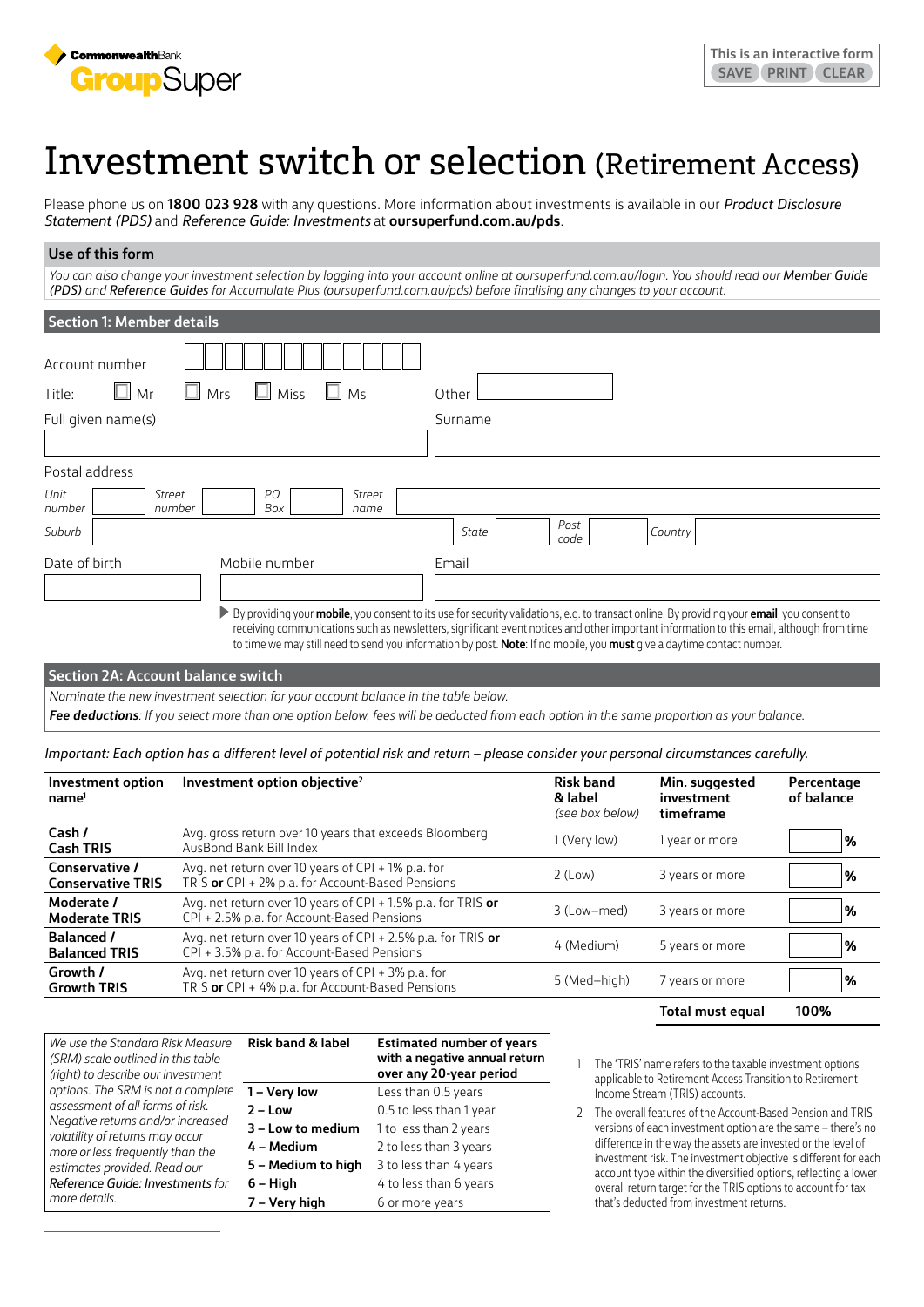

# Investment switch or selection (Retirement Access)

Please phone us on **1800 023 928** with any questions. More information about investments is available in our *Product Disclosure Statement (PDS)* and *Reference Guide: Investments* at **[oursuperfund.com.au/pds](https://oursuperfund.com.au/pds)**.

# **Use of this form**

You can also change your investment selection by logging into your account online at oursuperfund.com.au/login. You should read our Member Guide *(PDS) and Reference Guides for Accumulate Plus [\(oursuperfund.com.au/pds\)](https://oursuperfund.com.au/pds) before finalising any changes to your account.*

| <b>Section 1: Member details</b>                                   |                                                                                                                                                                                                                                                                                                                                                                                                                      |
|--------------------------------------------------------------------|----------------------------------------------------------------------------------------------------------------------------------------------------------------------------------------------------------------------------------------------------------------------------------------------------------------------------------------------------------------------------------------------------------------------|
| Account number                                                     |                                                                                                                                                                                                                                                                                                                                                                                                                      |
| $\Box$ Mr<br>$\Box$ Mrs<br>Miss<br>Ш<br>M <sub>S</sub><br>Title:   | Other                                                                                                                                                                                                                                                                                                                                                                                                                |
| Full given name(s)                                                 | Surname                                                                                                                                                                                                                                                                                                                                                                                                              |
|                                                                    |                                                                                                                                                                                                                                                                                                                                                                                                                      |
| Postal address                                                     |                                                                                                                                                                                                                                                                                                                                                                                                                      |
| Unit<br>PO.<br>Street<br>Street<br>Box<br>number<br>number<br>name |                                                                                                                                                                                                                                                                                                                                                                                                                      |
| Suburb                                                             | Post<br>Country<br>State<br>code                                                                                                                                                                                                                                                                                                                                                                                     |
| Date of birth<br>Mobile number                                     | Email                                                                                                                                                                                                                                                                                                                                                                                                                |
|                                                                    |                                                                                                                                                                                                                                                                                                                                                                                                                      |
|                                                                    | > By providing your mobile, you consent to its use for security validations, e.g. to transact online. By providing your email, you consent to<br>receiving communications such as newsletters, significant event notices and other important information to this email, although from time<br>to time we may still need to send you information by post. Note: If no mobile, you must give a daytime contact number. |

#### **Section 2A: Account balance switch**

*Nominate the new investment selection for your account balance in the table below.* 

*Fee deductions: If you select more than one option below, fees will be deducted from each option in the same proportion as your balance.*

*Important: Each option has a different level of potential risk and return – please consider your personal circumstances carefully.*

| Investment option<br>name <sup>1</sup>     | Investment option objective <sup>2</sup>                                                                   | <b>Risk band</b><br>& label<br>(see box below) | Min. suggested<br>investment<br>timeframe | Percentage<br>of balance |
|--------------------------------------------|------------------------------------------------------------------------------------------------------------|------------------------------------------------|-------------------------------------------|--------------------------|
| Cash /<br><b>Cash TRIS</b>                 | Avg. gross return over 10 years that exceeds Bloomberg<br>AusBond Bank Bill Index                          | 1 (Very low)                                   | 1 year or more                            | %                        |
| Conservative /<br><b>Conservative TRIS</b> | Avg. net return over 10 years of CPI + 1% p.a. for<br>TRIS or CPI + 2% p.a. for Account-Based Pensions     | $2$ (Low)                                      | 3 years or more                           | $\%$                     |
| Moderate /<br><b>Moderate TRIS</b>         | Avg. net return over 10 years of CPI + 1.5% p.a. for TRIS or<br>CPI + 2.5% p.a. for Account-Based Pensions | 3 (Low-med)                                    | 3 years or more                           | %                        |
| <b>Balanced /</b><br><b>Balanced TRIS</b>  | Avg. net return over 10 years of CPI + 2.5% p.a. for TRIS or<br>CPI + 3.5% p.a. for Account-Based Pensions | 4 (Medium)                                     | 5 years or more                           | $\frac{9}{6}$            |
| Growth /<br><b>Growth TRIS</b>             | Avg. net return over 10 years of CPI + 3% p.a. for<br>TRIS or CPI + 4% p.a. for Account-Based Pensions     | 5 (Med-high)                                   | 7 years or more                           | $\%$                     |
|                                            |                                                                                                            |                                                | Total must equal                          | 100%                     |

| We use the Standard Risk Measure   |
|------------------------------------|
| (SRM) scale outlined in this table |
| (right) to describe our investment |
| options. The SRM is not a complete |
| assessment of all forms of risk.   |
| Negative returns and/or increased  |
| volatility of returns may occur    |
| more or less frequently than the   |
| estimates provided. Read our       |
| Reference Guide: Investments for   |
| more details.                      |

| <b>Risk band &amp; label</b> | <b>Estimated number of years</b><br>with a negative annual return<br>over any 20-year period |  |
|------------------------------|----------------------------------------------------------------------------------------------|--|
| 1 – Very low                 | Less than 0.5 years                                                                          |  |
| $2 - Low$                    | 0.5 to less than 1 year                                                                      |  |
| 3 - Low to medium            | 1 to less than 2 years                                                                       |  |
| 4 – Medium                   | 2 to less than 3 years                                                                       |  |
| 5 - Medium to high           | 3 to less than 4 years                                                                       |  |
| $6 - High$                   | 4 to less than 6 years                                                                       |  |
| 7 – Very high                | 6 or more years                                                                              |  |

- 1 The 'TRIS' name refers to the taxable investment options applicable to Retirement Access Transition to Retirement Income Stream (TRIS) accounts.
- 2 The overall features of the Account-Based Pension and TRIS versions of each investment option are the same – there's no difference in the way the assets are invested or the level of investment risk. The investment objective is different for each account type within the diversified options, reflecting a lower overall return target for the TRIS options to account for tax that's deducted from investment returns.